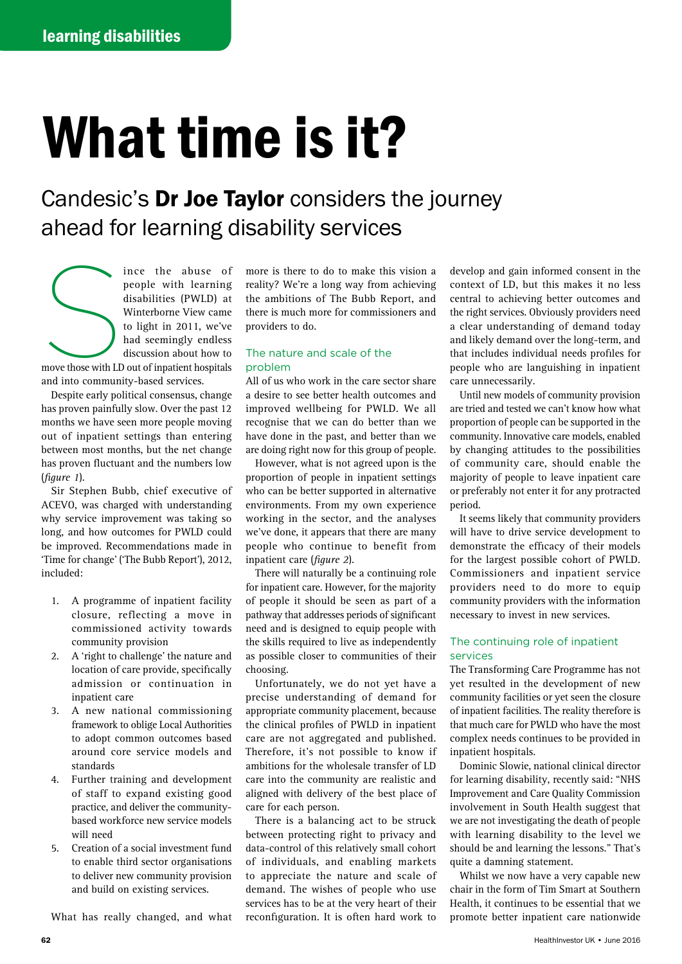# What time is it?

Candesic's Dr Joe Taylor considers the journey ahead for learning disability services

move those with LD ince the abuse of people with learning disabilities (PWLD) at Winterborne View came to light in 2011, we've had seemingly endless discussion about how to move those with LD out of inpatient hospitals and into community-based services.

Despite early political consensus, change has proven painfully slow. Over the past 12 months we have seen more people moving out of inpatient settings than entering between most months, but the net change has proven fluctuant and the numbers low (*figure 1*).

Sir Stephen Bubb, chief executive of ACEVO, was charged with understanding why service improvement was taking so long, and how outcomes for PWLD could be improved. Recommendations made in 'Time for change' ('The Bubb Report'), 2012, included:

- 1. A programme of inpatient facility closure, reflecting a move in commissioned activity towards community provision
- 2. A 'right to challenge' the nature and location of care provide, specifically admission or continuation in inpatient care
- 3. A new national commissioning framework to oblige Local Authorities to adopt common outcomes based around core service models and standards
- 4. Further training and development of staff to expand existing good practice, and deliver the communitybased workforce new service models will need
- 5. Creation of a social investment fund to enable third sector organisations to deliver new community provision and build on existing services.

What has really changed, and what

more is there to do to make this vision a reality? We're a long way from achieving the ambitions of The Bubb Report, and there is much more for commissioners and providers to do.

# The nature and scale of the problem

All of us who work in the care sector share a desire to see better health outcomes and improved wellbeing for PWLD. We all recognise that we can do better than we have done in the past, and better than we are doing right now for this group of people.

However, what is not agreed upon is the proportion of people in inpatient settings who can be better supported in alternative environments. From my own experience working in the sector, and the analyses we've done, it appears that there are many people who continue to benefit from inpatient care (*figure 2*).

There will naturally be a continuing role for inpatient care. However, for the majority of people it should be seen as part of a pathway that addresses periods of significant need and is designed to equip people with the skills required to live as independently as possible closer to communities of their choosing.

Unfortunately, we do not yet have a precise understanding of demand for appropriate community placement, because the clinical profiles of PWLD in inpatient care are not aggregated and published. Therefore, it's not possible to know if ambitions for the wholesale transfer of LD care into the community are realistic and aligned with delivery of the best place of care for each person.

There is a balancing act to be struck between protecting right to privacy and data-control of this relatively small cohort of individuals, and enabling markets to appreciate the nature and scale of demand. The wishes of people who use services has to be at the very heart of their reconfiguration. It is often hard work to

develop and gain informed consent in the context of LD, but this makes it no less central to achieving better outcomes and the right services. Obviously providers need a clear understanding of demand today and likely demand over the long-term, and that includes individual needs profiles for people who are languishing in inpatient care unnecessarily.

Until new models of community provision are tried and tested we can't know how what proportion of people can be supported in the community. Innovative care models, enabled by changing attitudes to the possibilities of community care, should enable the majority of people to leave inpatient care or preferably not enter it for any protracted period.

It seems likely that community providers will have to drive service development to demonstrate the efficacy of their models for the largest possible cohort of PWLD. Commissioners and inpatient service providers need to do more to equip community providers with the information necessary to invest in new services.

# The continuing role of inpatient services

The Transforming Care Programme has not yet resulted in the development of new community facilities or yet seen the closure of inpatient facilities. The reality therefore is that much care for PWLD who have the most complex needs continues to be provided in inpatient hospitals.

Dominic Slowie, national clinical director for learning disability, recently said: "NHS Improvement and Care Quality Commission involvement in South Health suggest that we are not investigating the death of people with learning disability to the level we should be and learning the lessons." That's quite a damning statement.

Whilst we now have a very capable new chair in the form of Tim Smart at Southern Health, it continues to be essential that we promote better inpatient care nationwide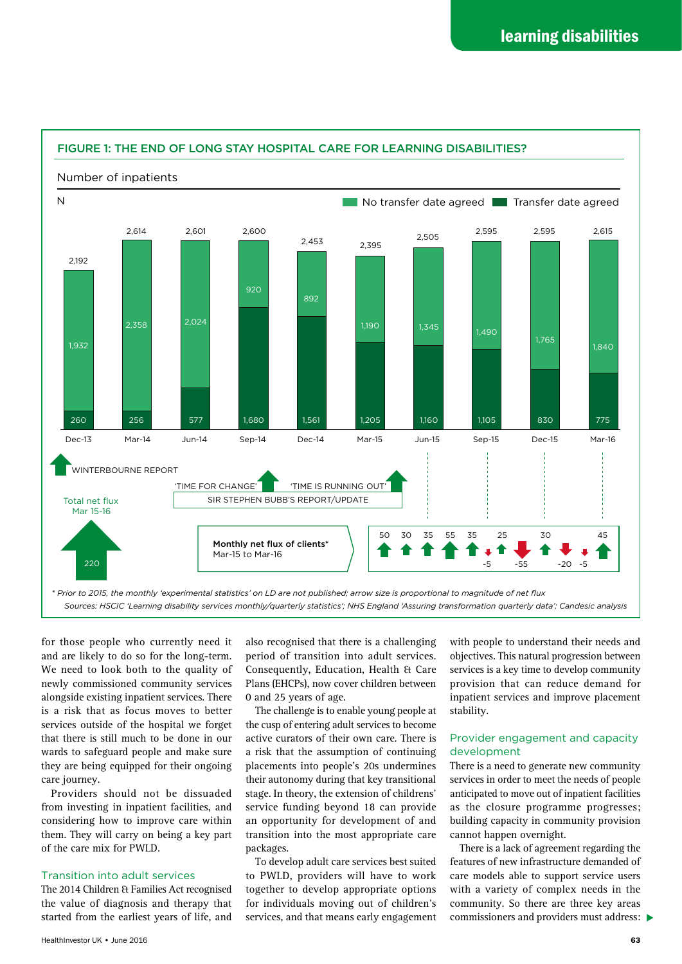

# FIGURE 1: THE END OF LONG STAY HOSPITAL CARE FOR LEARNING DISABILITIES?

for those people who currently need it and are likely to do so for the long-term. We need to look both to the quality of newly commissioned community services alongside existing inpatient services. There is a risk that as focus moves to better services outside of the hospital we forget that there is still much to be done in our wards to safeguard people and make sure they are being equipped for their ongoing care journey.

Providers should not be dissuaded from investing in inpatient facilities, and considering how to improve care within them. They will carry on being a key part of the care mix for PWLD.

## Transition into adult services

The 2014 Children & Families Act recognised the value of diagnosis and therapy that started from the earliest years of life, and

also recognised that there is a challenging period of transition into adult services. Consequently, Education, Health & Care Plans (EHCPs), now cover children between 0 and 25 years of age.

The challenge is to enable young people at the cusp of entering adult services to become active curators of their own care. There is a risk that the assumption of continuing placements into people's 20s undermines their autonomy during that key transitional stage. In theory, the extension of childrens' service funding beyond 18 can provide an opportunity for development of and transition into the most appropriate care packages.

To develop adult care services best suited to PWLD, providers will have to work together to develop appropriate options for individuals moving out of children's services, and that means early engagement with people to understand their needs and objectives. This natural progression between services is a key time to develop community provision that can reduce demand for inpatient services and improve placement stability.

# Provider engagement and capacity development

There is a need to generate new community services in order to meet the needs of people anticipated to move out of inpatient facilities as the closure programme progresses; building capacity in community provision cannot happen overnight.

commissioners and providers must address:  $\blacktriangleright$ There is a lack of agreement regarding the features of new infrastructure demanded of care models able to support service users with a variety of complex needs in the community. So there are three key areas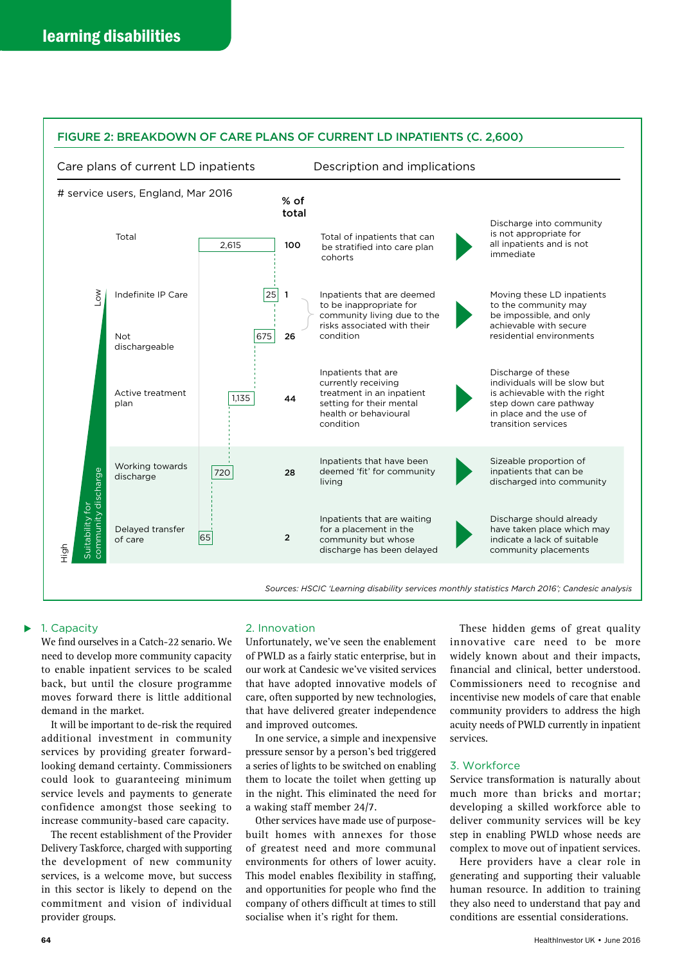

# FIGURE 2: BREAKDOWN OF CARE PLANS OF CURRENT LD INPATIENTS (C. 2,600)

## 1. Capacity

We find ourselves in a Catch-22 senario. We need to develop more community capacity to enable inpatient services to be scaled back, but until the closure programme moves forward there is little additional demand in the market.

It will be important to de-risk the required additional investment in community services by providing greater forwardlooking demand certainty. Commissioners could look to guaranteeing minimum service levels and payments to generate confidence amongst those seeking to increase community-based care capacity.

The recent establishment of the Provider Delivery Taskforce, charged with supporting the development of new community services, is a welcome move, but success in this sector is likely to depend on the commitment and vision of individual provider groups.

### 2. Innovation

Unfortunately, we've seen the enablement of PWLD as a fairly static enterprise, but in our work at Candesic we've visited services that have adopted innovative models of care, often supported by new technologies, that have delivered greater independence and improved outcomes.

In one service, a simple and inexpensive pressure sensor by a person's bed triggered a series of lights to be switched on enabling them to locate the toilet when getting up in the night. This eliminated the need for a waking staff member 24/7.

Other services have made use of purposebuilt homes with annexes for those of greatest need and more communal environments for others of lower acuity. This model enables flexibility in staffing, and opportunities for people who find the company of others difficult at times to still socialise when it's right for them.

These hidden gems of great quality innovative care need to be more widely known about and their impacts, financial and clinical, better understood. Commissioners need to recognise and incentivise new models of care that enable community providers to address the high acuity needs of PWLD currently in inpatient services.

### 3. Workforce

Service transformation is naturally about much more than bricks and mortar; developing a skilled workforce able to deliver community services will be key step in enabling PWLD whose needs are complex to move out of inpatient services.

Here providers have a clear role in generating and supporting their valuable human resource. In addition to training they also need to understand that pay and conditions are essential considerations.